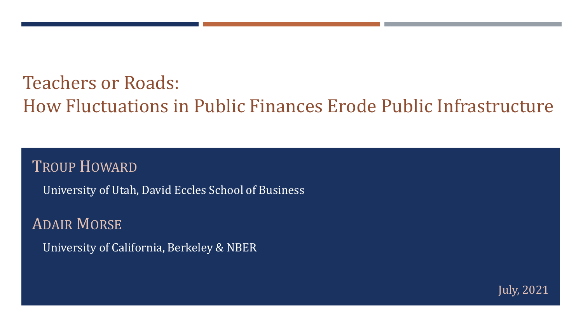# Teachers or Roads: How Fluctuations in Public Finances Erode Public Infrastructure

TROUP HOWARD University of Utah, David Eccles School of Business ADAIR MORSE University of California, Berkeley & NBER

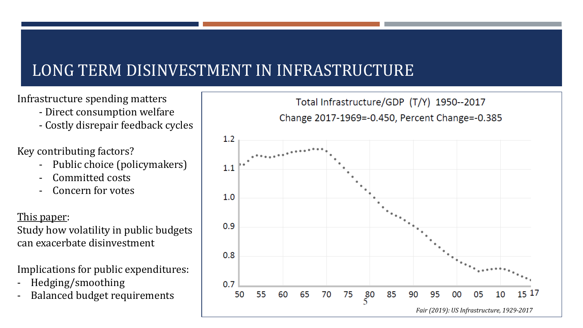# LONG TERM DISINVESTMENT IN INFRASTRUCTURE

Infrastructure spending matters

- Direct consumption welfare
- Costly disrepair feedback cycles

### Key contributing factors?

- Public choice (policymakers)
- Committed costs
- Concern for votes

### This paper:

Study how volatility in public budgets can exacerbate disinvestment

Implications for public expenditures:

- Hedging/smoothing
- Balanced budget requirements

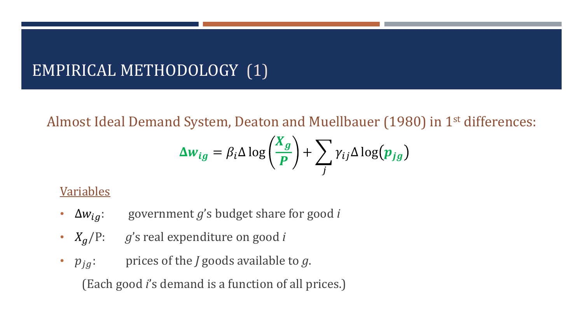## EMPIRICAL METHODOLOGY (1)

Almost Ideal Demand System, Deaton and Muellbauer (1980) in 1st differences:

$$
\Delta w_{ig} = \beta_i \Delta \log \left( \frac{X_g}{P} \right) + \sum_j \gamma_{ij} \Delta \log (p_{jg})
$$

### Variables

- $\Delta w_{ia}$ : government *g*'s budget share for good *i*
- $X_{a}/P$ : *g*'s real expenditure on good *i*
- $p_{jg}$ : prices of the *J* goods available to *g*.

(Each good *i*'s demand is a function of all prices.)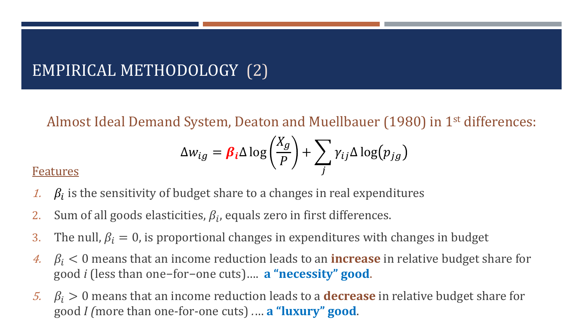## EMPIRICAL METHODOLOGY (2)

Almost Ideal Demand System, Deaton and Muellbauer (1980) in 1st differences:

$$
\Delta w_{ig} = \beta_i \Delta \log \left(\frac{X_g}{P}\right) + \sum_j \gamma_{ij} \Delta \log (p_{jg})
$$

### Features

- $\beta_i$  is the sensitivity of budget share to a changes in real expenditures
- 2. Sum of all goods elasticities,  $\beta_i$ , equals zero in first differences.
- 3. The null,  $\beta_i = 0$ , is proportional changes in expenditures with changes in budget
- $4.$   $\beta_i$   $\lt$  0 means that an income reduction leads to an **increase** in relative budget share for good *i* (less than one−for−one cuts)…. **a "necessity" good**.
- $5.$   $\beta_i > 0$  means that an income reduction leads to a **decrease** in relative budget share for good *I (*more than one-for-one cuts) *.*… **a "luxury" good**.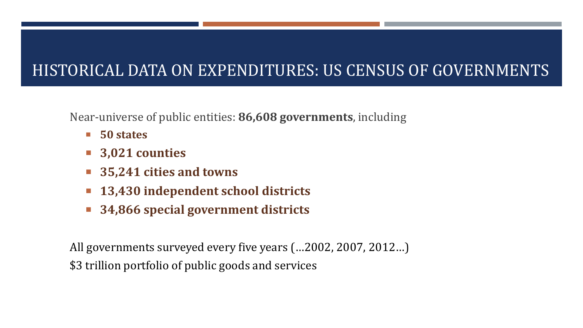# HISTORICAL DATA ON EXPENDITURES: US CENSUS OF GOVERNMENTS

Near-universe of public entities: **86,608 governments**, including

- **50 states**
- **3,021 counties**
- **35,241 cities and towns**
- **13,430 independent school districts**
- **34,866 special government districts**

All governments surveyed every five years (…2002, 2007, 2012…) \$3 trillion portfolio of public goods and services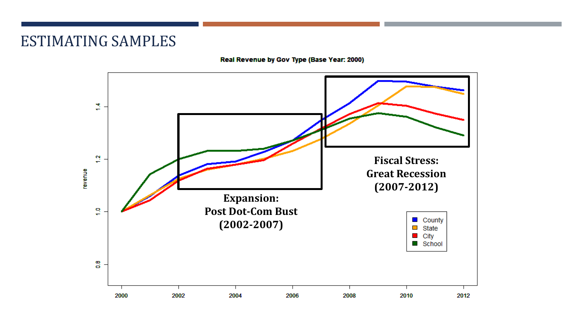### ESTIMATING SAMPLES

Real Revenue by Gov Type (Base Year: 2000)

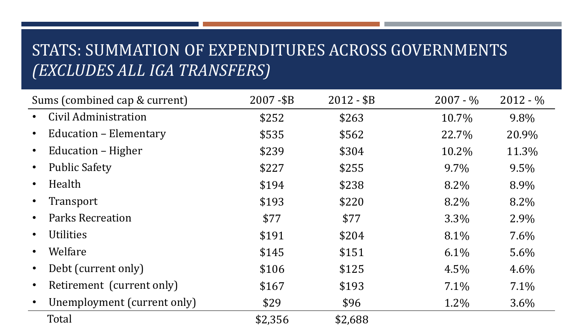# STATS: SUMMATION OF EXPENDITURES ACROSS GOVERNMENTS *(EXCLUDES ALL IGA TRANSFERS)*

| Sums (combined cap & current) | $2007 - $B$ | $2012 - $B$ | $2007 - %$ | $2012 - %$ |
|-------------------------------|-------------|-------------|------------|------------|
| Civil Administration          | \$252       | \$263       | 10.7%      | 9.8%       |
| <b>Education – Elementary</b> | \$535       | \$562       | 22.7%      | 20.9%      |
| Education – Higher            | \$239       | \$304       | 10.2%      | 11.3%      |
| <b>Public Safety</b>          | \$227       | \$255       | $9.7\%$    | 9.5%       |
| Health                        | \$194       | \$238       | 8.2%       | 8.9%       |
| Transport                     | \$193       | \$220       | 8.2%       | 8.2%       |
| <b>Parks Recreation</b>       | \$77        | \$77        | $3.3\%$    | 2.9%       |
| <b>Utilities</b>              | \$191       | \$204       | 8.1%       | $7.6\%$    |
| Welfare                       | \$145       | \$151       | 6.1%       | $5.6\%$    |
| Debt (current only)           | \$106       | \$125       | 4.5%       | 4.6%       |
| Retirement (current only)     | \$167       | \$193       | $7.1\%$    | 7.1%       |
| Unemployment (current only)   | \$29        | \$96        | 1.2%       | $3.6\%$    |
| Total                         | \$2,356     | \$2,688     |            |            |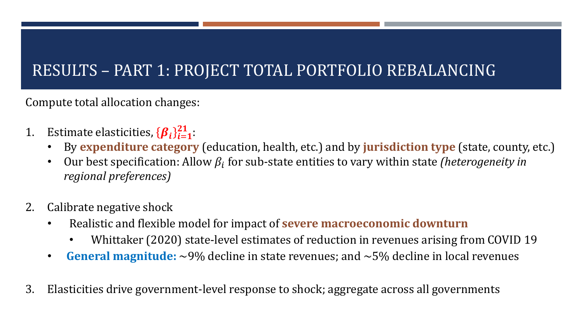# RESULTS – PART 1: PROJECT TOTAL PORTFOLIO REBALANCING

Compute total allocation changes:

- 1. Estimate elasticities,  $\{\boldsymbol{\beta}_i\}_{i=1}^{21}$ .
	- By **expenditure category** (education, health, etc.) and by **jurisdiction type** (state, county, etc.)
	- Our best specification: Allow  $\beta_i$  for sub-state entities to vary within state *(heterogeneity in regional preferences)*
- 2. Calibrate negative shock
	- Realistic and flexible model for impact of **severe macroeconomic downturn**
		- Whittaker (2020) state-level estimates of reduction in revenues arising from COVID 19
	- **General magnitude:** ~9% decline in state revenues; and ~5% decline in local revenues
- 3. Elasticities drive government-level response to shock; aggregate across all governments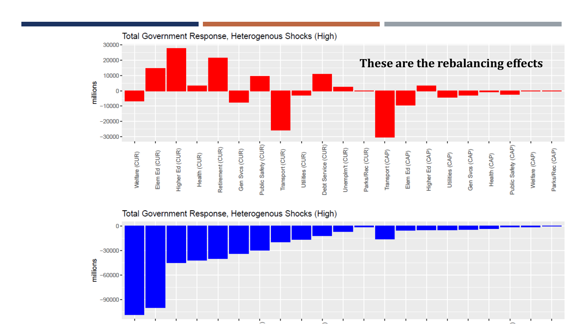

Total Government Response, Heterogenous Shocks (High)

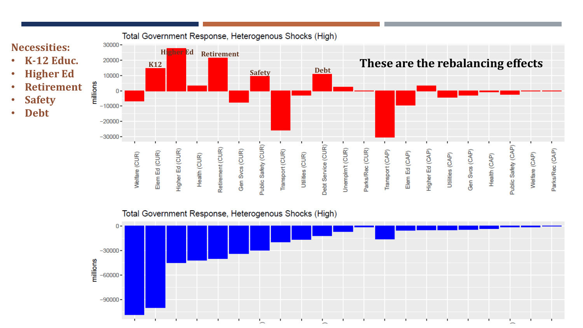

Total Government Response, Heterogenous Shocks (High)

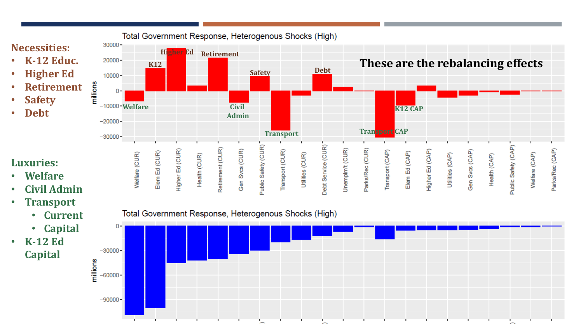#### Total Government Response, Heterogenous Shocks (High)  $30000 -$ **Necessities: Higher Ed Retirement** • **K-12 Educ.**  $20000 -$ **These are the rebalancing effects K12 Safety Debt**• **Higher Ed**  $10000 -$ • **Retirement**  $0 -$ • **Safety** • **Debt** <sup>-10000</sup> Welfare **Civil** Civil **K12 CAP Admin Transport Transport CAP**  $-30000 -$ Public Safety (CUR) Debt Service (CUR) Public Safety (CAP) Retirement (CUR) Higher Ed (CUR) Unemplm't (CUR) Parks/Rec (CUR) Gen Svcs (CUR) Transport (CUR) Parks/Rec (CAP) Higher Ed (CAP) Gen Svos (CAP) Elem Ed (CUR) Transport (CAP) Elem Ed (CAP) Welfare (CUR) Utilities (CUR) Health (CUR) Utilities (CAP) Welfare (CAP) Health (CAP) **Luxuries:** • **Welfare**

- **Civil Admin**
- **Transport**
	- **Current**
	- **Capital**
- **K-12 Ed Capital**

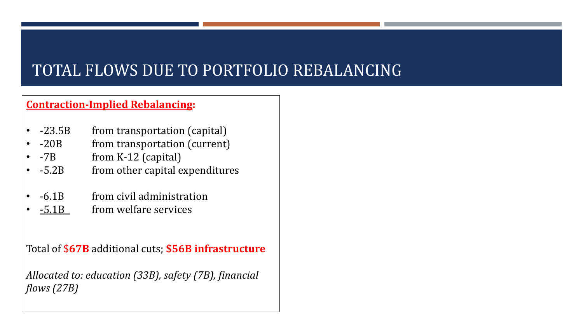## TOTAL FLOWS DUE TO PORTFOLIO REBALANCING

### **Contraction-Implied Rebalancing:**

- -23.5B from transportation (capital)<br>• -20B from transportation (current)
- -20B from transportation (current)<br>• -7B from K-12 (capital)
- -7B from K-12 (capital)<br>• -5.2B from other capital e
- from other capital expenditures
- -6.1B from civil administration<br>• <u>-5.1B</u> from welfare services
- -5.1B from welfare services

Total of \$**67B** additional cuts; **\$56B infrastructure**

*Allocated to: education (33B), safety (7B), financial flows (27B)*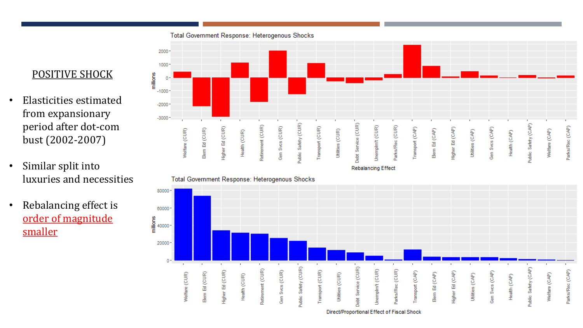### POSITIVE SHOCK

- Elasticities estimated from expansionary period after dot-com bust (2002-2007)
- Similar split into luxuries and necessities
- Rebalancing effect is order of magnitude smaller



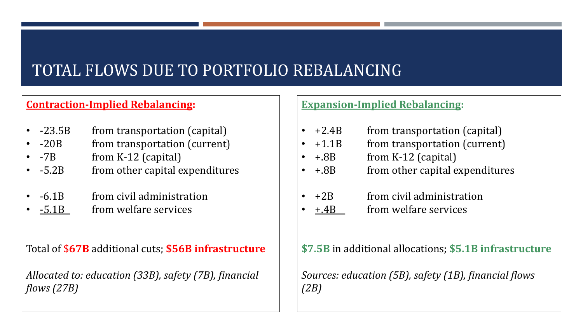## TOTAL FLOWS DUE TO PORTFOLIO REBALANCING

### **Contraction-Implied Rebalancing:**

- -23.5B from transportation (capital)<br>• -20B from transportation (current)
- -20B from transportation (current)<br>• -7B from K-12 (capital)
- -7B from K-12 (capital)<br>• -5.2B from other capital e
- from other capital expenditures
- -6.1B from civil administration<br>• <u>-5.1B</u> from welfare services
- -5.1B from welfare services

Total of \$**67B** additional cuts; **\$56B infrastructure**

*Allocated to: education (33B), safety (7B), financial flows (27B)*

### **Expansion-Implied Rebalancing:**

- +2.4B from transportation (capital)<br>• +1.1B from transportation (current)
- from transportation (current)
- $\bullet$  +.8B from K-12 (capital)
- +.8B from other capital expenditures
- $+2B$  from civil administration<br>•  $\pm 4B$  from welfare services
- from welfare services

**\$7.5B** in additional allocations; **\$5.1B infrastructure**

*Sources: education (5B), safety (1B), financial flows (2B)*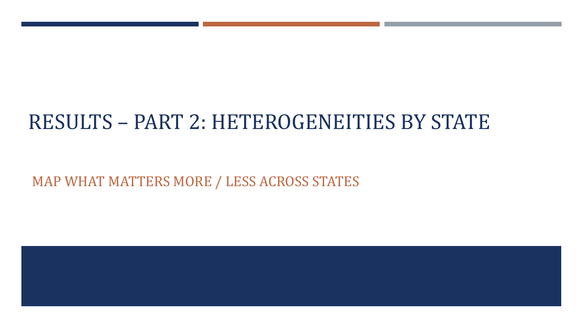# RESULTS – PART 2: HETEROGENEITIES BY STATE

MAP WHAT MATTERS MORE / LESS ACROSS STATES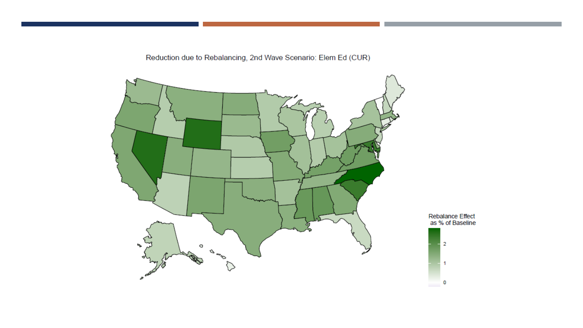Reduction due to Rebalancing, 2nd Wave Scenario: Elem Ed (CUR)

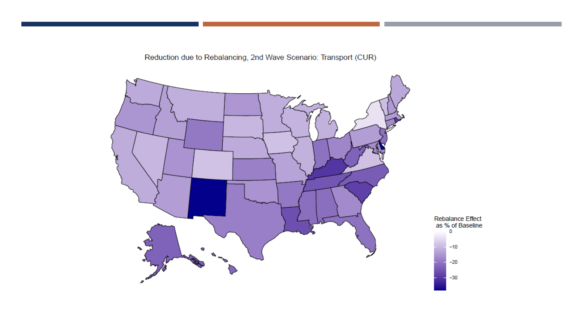Reduction due to Rebalancing, 2nd Wave Scenario: Transport (CUR)

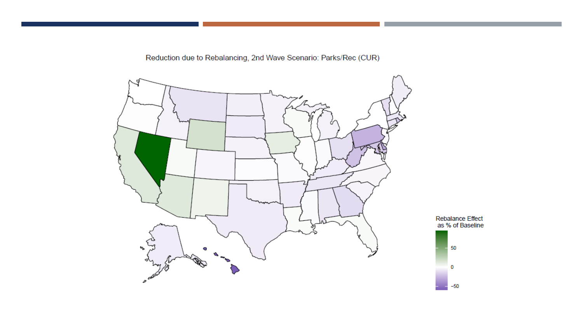Reduction due to Rebalancing, 2nd Wave Scenario: Parks/Rec (CUR)

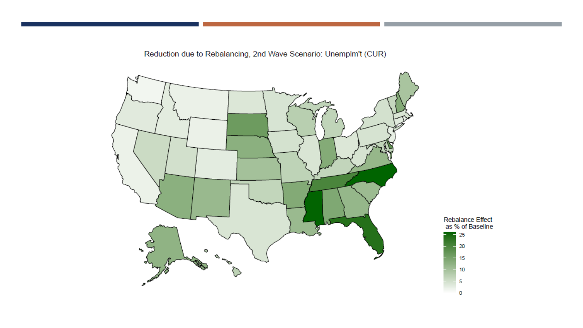Reduction due to Rebalancing, 2nd Wave Scenario: Unemplm't (CUR)